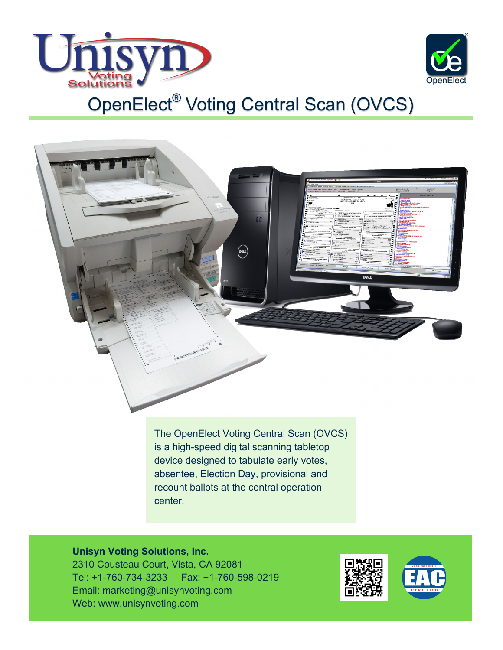



The OpenElect Voting Central Scan (OVCS) is a high-speed digital scanning tabletop device designed to tabulate early votes, absentee, Election Day, provisional and recount ballots at the central operation center.

## **Unisyn Voting Solutions, Inc.**

2310 Cousteau Court, Vista, CA 92081 Tel: +1-760-734-3233 Fax: +1-760-598-0219 Email: marketing@unisynvoting.com Web: www.unisynvoting.com